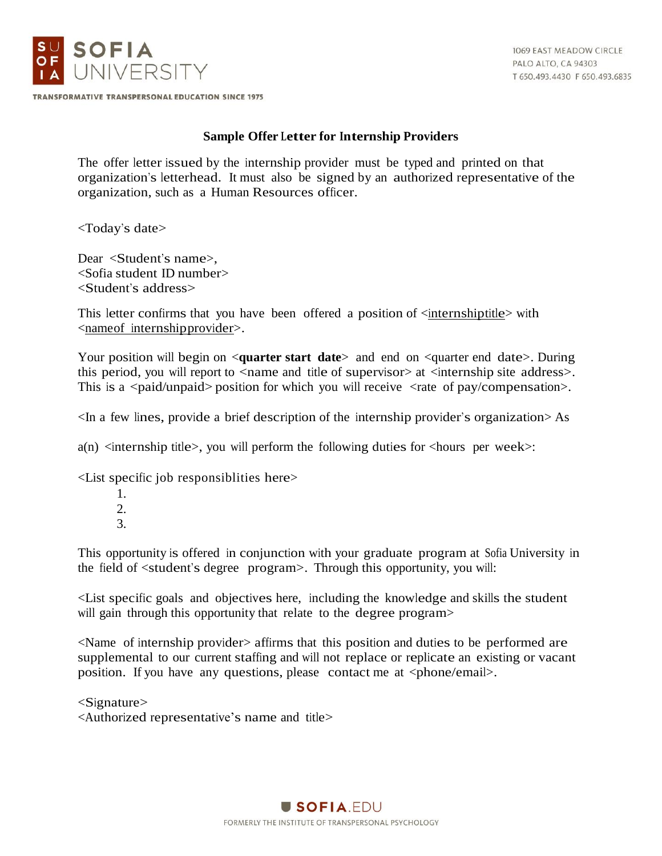

1069 EAST MEADOW CIRCLE PALO ALTO, CA 94303 T 650.493.4430 F 650.493.6835

TRANSFORMATIVE TRANSPERSONAL EDUCATION SINCE 1975

## **Sample Offer Letter for Internship Providers**

The offer letter issued by the internship provider must be typed and printed on that organization's letterhead. It must also be signed by an authorized representative of the organization, such as a Human Resources officer.

<Today's date>

Dear <Student's name>, <Sofia student ID number> <Student's address>

This letter confirms that you have been offered a position of  $\leq$  internshiptitle with <nameof internshipprovider>.

Your position will begin on  $\leq$ **quarter start date** and end on  $\leq$ **quarter** end date  $\geq$ . During this period, you will report to  $\leq$  name and title of supervisor  $\geq$  at  $\leq$  internship site address  $\geq$ . This is a  $\langle$  paid/unpaid> position for which you will receive  $\langle$  rate of pay/compensation>.

<In a few lines, provide a brief description of the internship provider's organization> As

 $a(n)$  <internship title>, you will perform the following duties for <hours per week>:

<List specific job responsiblities here>

- 1. 2.
- 3.

This opportunity is offered in conjunction with your graduate program at Sofia University in the field of <student's degree program>. Through this opportunity, you will:

<List specific goals and objectives here, including the knowledge and skills the student will gain through this opportunity that relate to the degree program>

<Name of internship provider> affirms that this position and duties to be performed are supplemental to our current staffing and will not replace or replicate an existing or vacant position. If you have any questions, please contact me at  $\langle$ phone/email>.

<Signature> <Authorized representative's name and title>